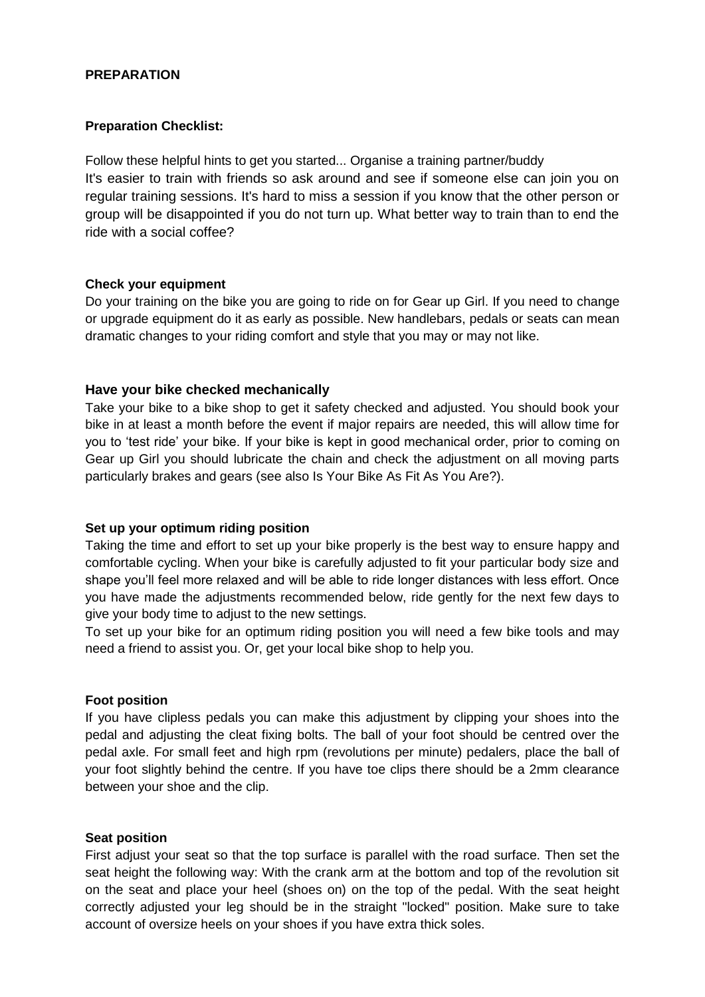### **PREPARATION**

#### **Preparation Checklist:**

Follow these helpful hints to get you started... Organise a training partner/buddy It's easier to train with friends so ask around and see if someone else can join you on regular training sessions. It's hard to miss a session if you know that the other person or group will be disappointed if you do not turn up. What better way to train than to end the ride with a social coffee?

#### **Check your equipment**

Do your training on the bike you are going to ride on for Gear up Girl. If you need to change or upgrade equipment do it as early as possible. New handlebars, pedals or seats can mean dramatic changes to your riding comfort and style that you may or may not like.

#### **Have your bike checked mechanically**

Take your bike to a bike shop to get it safety checked and adjusted. You should book your bike in at least a month before the event if major repairs are needed, this will allow time for you to 'test ride' your bike. If your bike is kept in good mechanical order, prior to coming on Gear up Girl you should lubricate the chain and check the adjustment on all moving parts particularly brakes and gears (see also Is Your Bike As Fit As You Are?).

#### **Set up your optimum riding position**

Taking the time and effort to set up your bike properly is the best way to ensure happy and comfortable cycling. When your bike is carefully adjusted to fit your particular body size and shape you'll feel more relaxed and will be able to ride longer distances with less effort. Once you have made the adjustments recommended below, ride gently for the next few days to give your body time to adjust to the new settings.

To set up your bike for an optimum riding position you will need a few bike tools and may need a friend to assist you. Or, get your local bike shop to help you.

#### **Foot position**

If you have clipless pedals you can make this adjustment by clipping your shoes into the pedal and adjusting the cleat fixing bolts. The ball of your foot should be centred over the pedal axle. For small feet and high rpm (revolutions per minute) pedalers, place the ball of your foot slightly behind the centre. If you have toe clips there should be a 2mm clearance between your shoe and the clip.

#### **Seat position**

First adjust your seat so that the top surface is parallel with the road surface. Then set the seat height the following way: With the crank arm at the bottom and top of the revolution sit on the seat and place your heel (shoes on) on the top of the pedal. With the seat height correctly adjusted your leg should be in the straight "locked" position. Make sure to take account of oversize heels on your shoes if you have extra thick soles.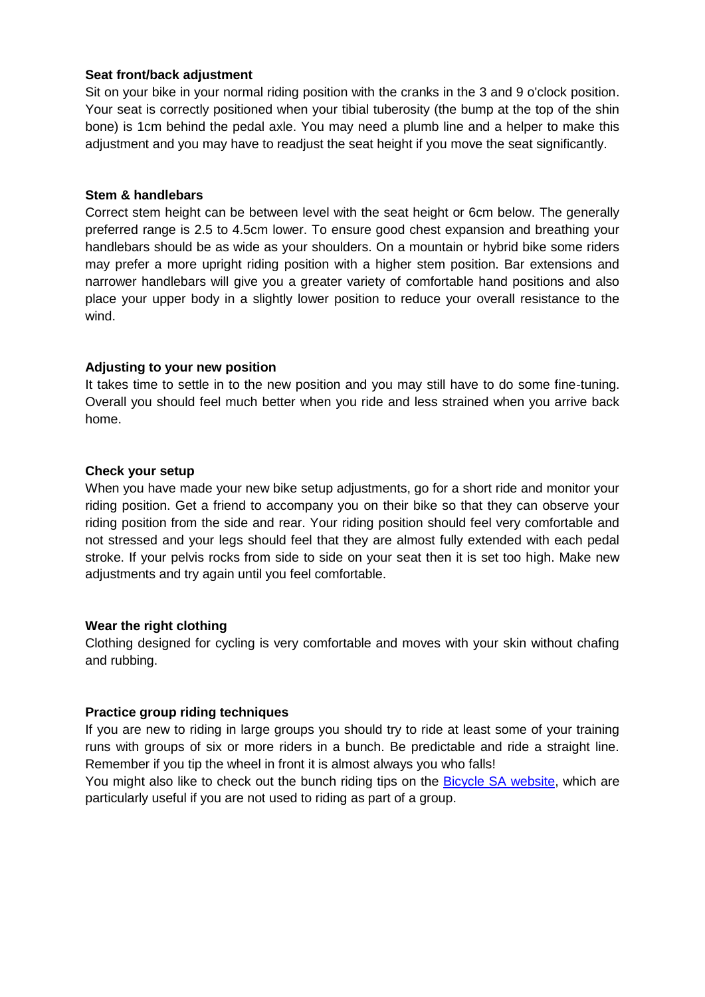### **Seat front/back adjustment**

Sit on your bike in your normal riding position with the cranks in the 3 and 9 o'clock position. Your seat is correctly positioned when your tibial tuberosity (the bump at the top of the shin bone) is 1cm behind the pedal axle. You may need a plumb line and a helper to make this adjustment and you may have to readjust the seat height if you move the seat significantly.

#### **Stem & handlebars**

Correct stem height can be between level with the seat height or 6cm below. The generally preferred range is 2.5 to 4.5cm lower. To ensure good chest expansion and breathing your handlebars should be as wide as your shoulders. On a mountain or hybrid bike some riders may prefer a more upright riding position with a higher stem position. Bar extensions and narrower handlebars will give you a greater variety of comfortable hand positions and also place your upper body in a slightly lower position to reduce your overall resistance to the wind.

### **Adjusting to your new position**

It takes time to settle in to the new position and you may still have to do some fine-tuning. Overall you should feel much better when you ride and less strained when you arrive back home.

### **Check your setup**

When you have made your new bike setup adjustments, go for a short ride and monitor your riding position. Get a friend to accompany you on their bike so that they can observe your riding position from the side and rear. Your riding position should feel very comfortable and not stressed and your legs should feel that they are almost fully extended with each pedal stroke. If your pelvis rocks from side to side on your seat then it is set too high. Make new adjustments and try again until you feel comfortable.

#### **Wear the right clothing**

Clothing designed for cycling is very comfortable and moves with your skin without chafing and rubbing.

# **Practice group riding techniques**

If you are new to riding in large groups you should try to ride at least some of your training runs with groups of six or more riders in a bunch. Be predictable and ride a straight line. Remember if you tip the wheel in front it is almost always you who falls!

You might also like to check out the bunch riding tips on the [Bicycle SA](http://www.yooyahcloud.com/BIKESA/4HFIT/Bunch_Riding_-_Rules__Etiquette.pdf) website, which are particularly useful if you are not used to riding as part of a group.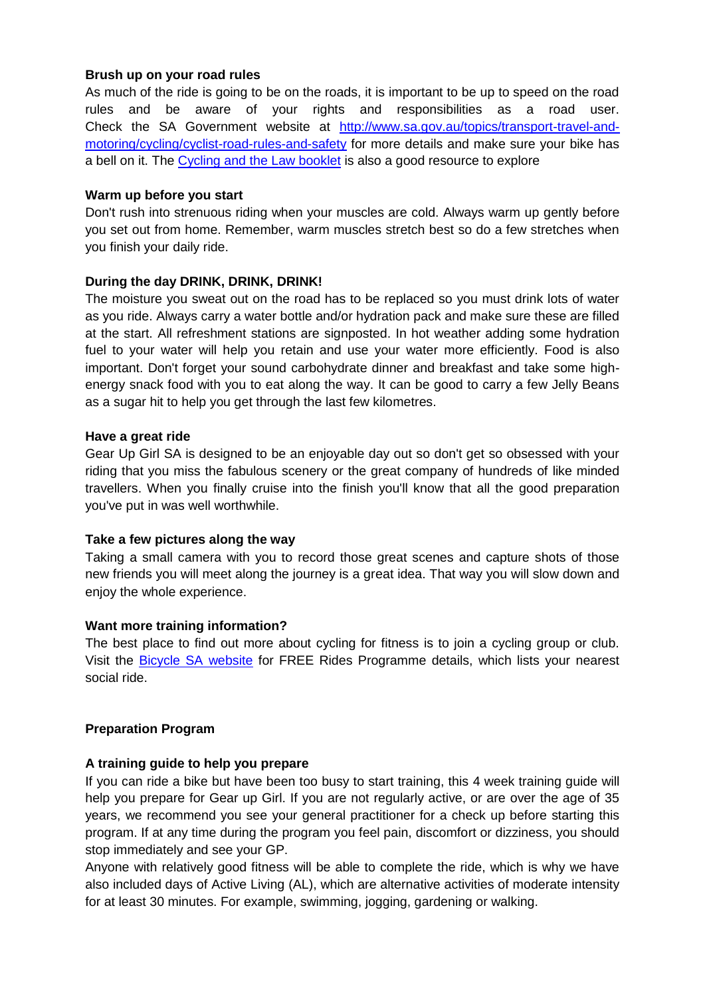#### **Brush up on your road rules**

As much of the ride is going to be on the roads, it is important to be up to speed on the road rules and be aware of your rights and responsibilities as a road user. Check the SA Government website at [http://www.sa.gov.au/topics/transport-travel-and](http://www.sa.gov.au/topics/transport-travel-and-motoring/cycling/cyclist-road-rules-and-safety)[motoring/cycling/cyclist-road-rules-and-safety](http://www.sa.gov.au/topics/transport-travel-and-motoring/cycling/cyclist-road-rules-and-safety) for more details and make sure your bike has a bell on it. The [Cycling and the Law booklet](http://www.sa.gov.au/__data/assets/pdf_file/0020/23438/DPTI-Cycling-and-the-Law-Booklet_ALT5.pdf) is also a good resource to explore

### **Warm up before you start**

Don't rush into strenuous riding when your muscles are cold. Always warm up gently before you set out from home. Remember, warm muscles stretch best so do a few stretches when you finish your daily ride.

### **During the day DRINK, DRINK, DRINK!**

The moisture you sweat out on the road has to be replaced so you must drink lots of water as you ride. Always carry a water bottle and/or hydration pack and make sure these are filled at the start. All refreshment stations are signposted. In hot weather adding some hydration fuel to your water will help you retain and use your water more efficiently. Food is also important. Don't forget your sound carbohydrate dinner and breakfast and take some highenergy snack food with you to eat along the way. It can be good to carry a few Jelly Beans as a sugar hit to help you get through the last few kilometres.

#### **Have a great ride**

Gear Up Girl SA is designed to be an enjoyable day out so don't get so obsessed with your riding that you miss the fabulous scenery or the great company of hundreds of like minded travellers. When you finally cruise into the finish you'll know that all the good preparation you've put in was well worthwhile.

#### **Take a few pictures along the way**

Taking a small camera with you to record those great scenes and capture shots of those new friends you will meet along the journey is a great idea. That way you will slow down and enjoy the whole experience.

# **Want more training information?**

The best place to find out more about cycling for fitness is to join a cycling group or club. Visit the [Bicycle SA website](http://www.bikesa.asn.au/freeridesandgroups) for FREE Rides Programme details, which lists your nearest social ride.

# **Preparation Program**

# **A training guide to help you prepare**

If you can ride a bike but have been too busy to start training, this 4 week training guide will help you prepare for Gear up Girl. If you are not regularly active, or are over the age of 35 years, we recommend you see your general practitioner for a check up before starting this program. If at any time during the program you feel pain, discomfort or dizziness, you should stop immediately and see your GP.

Anyone with relatively good fitness will be able to complete the ride, which is why we have also included days of Active Living (AL), which are alternative activities of moderate intensity for at least 30 minutes. For example, swimming, jogging, gardening or walking.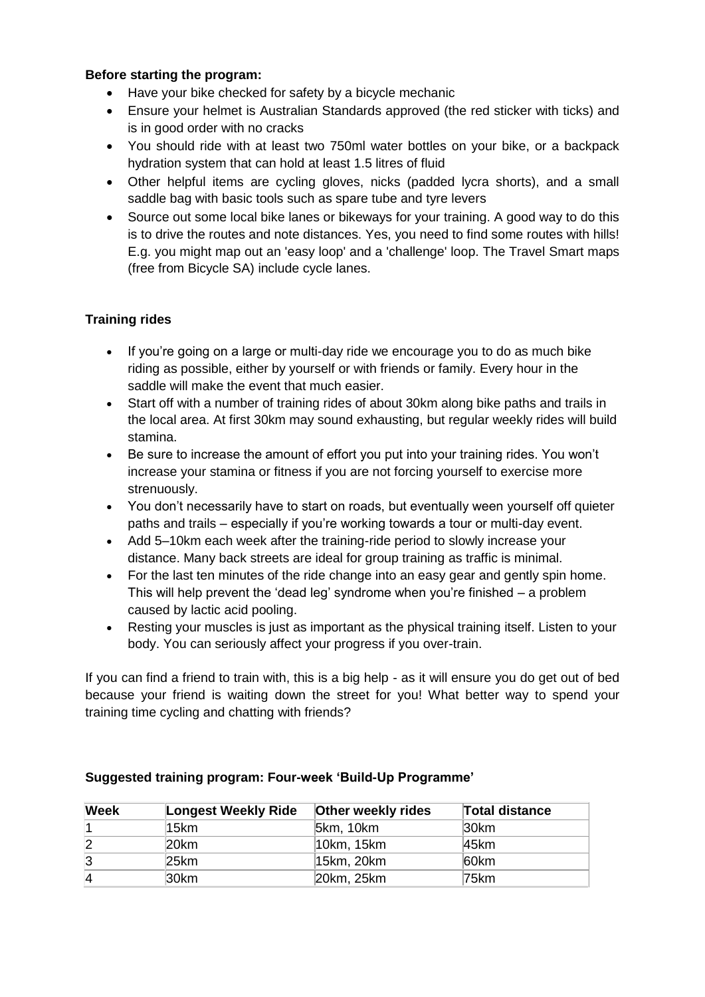### **Before starting the program:**

- Have your bike checked for safety by a bicycle mechanic
- Ensure your helmet is Australian Standards approved (the red sticker with ticks) and is in good order with no cracks
- You should ride with at least two 750ml water bottles on your bike, or a backpack hydration system that can hold at least 1.5 litres of fluid
- Other helpful items are cycling gloves, nicks (padded lycra shorts), and a small saddle bag with basic tools such as spare tube and tyre levers
- Source out some local bike lanes or bikeways for your training. A good way to do this is to drive the routes and note distances. Yes, you need to find some routes with hills! E.g. you might map out an 'easy loop' and a 'challenge' loop. The Travel Smart maps (free from Bicycle SA) include cycle lanes.

# **Training rides**

- If you're going on a large or multi-day ride we encourage you to do as much bike riding as possible, either by yourself or with friends or family. Every hour in the saddle will make the event that much easier.
- Start off with a number of training rides of about 30km along bike paths and trails in the local area. At first 30km may sound exhausting, but regular weekly rides will build stamina.
- Be sure to increase the amount of effort you put into your training rides. You won't increase your stamina or fitness if you are not forcing yourself to exercise more strenuously.
- You don't necessarily have to start on roads, but eventually ween yourself off quieter paths and trails – especially if you're working towards a tour or multi-day event.
- Add 5–10km each week after the training-ride period to slowly increase your distance. Many back streets are ideal for group training as traffic is minimal.
- For the last ten minutes of the ride change into an easy gear and gently spin home. This will help prevent the 'dead leg' syndrome when you're finished – a problem caused by lactic acid pooling.
- Resting your muscles is just as important as the physical training itself. Listen to your body. You can seriously affect your progress if you over-train.

If you can find a friend to train with, this is a big help - as it will ensure you do get out of bed because your friend is waiting down the street for you! What better way to spend your training time cycling and chatting with friends?

| <b>Week</b>    | Longest Weekly Ride | <b>Other weekly rides</b> | <b>Total distance</b> |
|----------------|---------------------|---------------------------|-----------------------|
|                | 15km                | 5km, 10km                 | 30km                  |
| $\overline{2}$ | 20km                | 10km, 15km                | 45km                  |
| 3              | 25km                | 15km, 20km                | 60km                  |
| $\overline{A}$ | 30km                | 20km, 25km                | 75km                  |

# **Suggested training program: Four-week 'Build-Up Programme'**